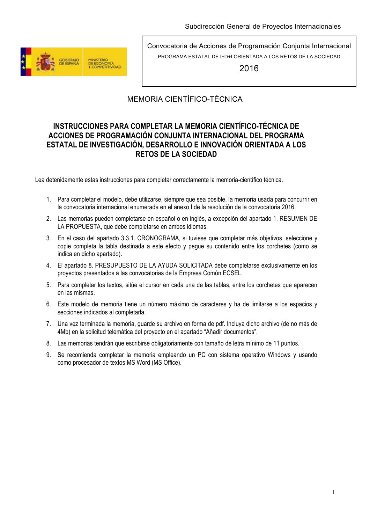

2016

## MEMORIA CIENTÍFICO-TÉCNICA

### **INSTRUCCIONES PARA COMPLETAR LA MEMORIA CIENTÍFICO-TÉCNICA DE ACCIONES DE PROGRAMACIÓN CONJUNTA INTERNACIONAL DEL PROGRAMA ESTATAL DE INVESTIGACIÓN, DESARROLLO E INNOVACIÓN ORIENTADA A LOS RETOS DE LA SOCIEDAD**

Lea detenidamente estas instrucciones para completar correctamente la memoria-científico técnica.

- 1. Para completar el modelo, debe utilizarse, siempre que sea posible, la memoria usada para concurrir en la convocatoria internacional enumerada en el anexo I de la resolución de la convocatoria 2016.
- 2. Las memorias pueden completarse en español o en inglés, a excepción del apartado 1. RESUMEN DE LA PROPUESTA, que debe completarse en ambos idiomas.
- 3. En el caso del apartado 3.3.1. CRONOGRAMA, si tuviese que completar más objetivos, seleccione y copie completa la tabla destinada a este efecto y pegue su contenido entre los corchetes (como se indica en dicho apartado).
- 4. El apartado 8. PRESUPUESTO DE LA AYUDA SOLICITADA debe completarse exclusivamente en los proyectos presentados a las convocatorias de la Empresa Común ECSEL.
- 5. Para completar los textos, sitúe el cursor en cada una de las tablas, entre los corchetes que aparecen en las mismas.
- 6. Este modelo de memoria tiene un número máximo de caracteres y ha de limitarse a los espacios y secciones indicados al completarla.
- 7. Una vez terminada la memoria, guarde su archivo en forma de pdf. Incluya dicho archivo (de no más de 4Mb) en la solicitud telemática del proyecto en el apartado "Añadir documentos".
- 8. Las memorias tendrán que escribirse obligatoriamente con tamaño de letra mínimo de 11 puntos.
- 9. Se recomienda completar la memoria empleando un PC con sistema operativo Windows y usando como procesador de textos MS Word (MS Office).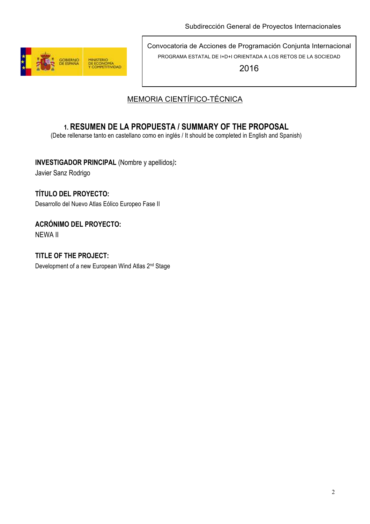

2016

# MEMORIA CIENTÍFICO-TÉCNICA

# **1. RESUMEN DE LA PROPUESTA / SUMMARY OF THE PROPOSAL**

(Debe rellenarse tanto en castellano como en inglés / It should be completed in English and Spanish)

**INVESTIGADOR PRINCIPAL** (Nombre y apellidos*)***:**

Javier Sanz Rodrigo

## **TÍTULO DEL PROYECTO:**

Desarrollo del Nuevo Atlas Eólico Europeo Fase II

### **ACRÓNIMO DEL PROYECTO:**

NEWA II

### **TITLE OF THE PROJECT:**

Development of a new European Wind Atlas 2<sup>nd</sup> Stage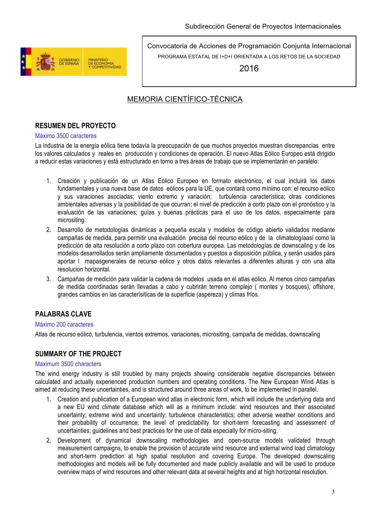

2016

## MEMORIA CIENTÍFICO-TÉCNICA

### **RESUMEN DEL PROYECTO**

#### Máximo 3500 caracteres

La industria de la energía eólica tiene todavía la preocupación de que muchos proyectos muestran discrepancias entre los valores calculados y reales en producción y condiciones de operación. El nuevo Atlas Eólico Europeo está dirigido a reducir estas variaciones y está estructurado en torno a tres áreas de trabajo que se implementarán en paralelo:

- 1. Creación y publicación de un Atlas Eólico Europeo en formato electrónico, el cual incluirá los datos fundamentales y una nueva base de datos eólicos para la UE, que contará como mínimo con: el recurso eólico y sus varaciones asociadas; viento extremo y variación; turbulencia característica; otras condiciones ambientales adversas y la posibilidad de que ocurran; el nivel de predicción a corto plazo con el pronóstico y la evaluación de las variaciones; guías y buenas prácticas para el uso de los datos, especialmente para micrositing.
- 2. Desarrollo de metodologías dinámicas a pequeña escala y modelos de código abierto validados mediante campañas de medida, para permitir una evaluación precisa del recurso eólico y de la climatologíaasí como la predicción de alta resolución a corto plazo con cobertura europea. Las metodologías de downscaling y de los modelos desarrollados serán ampliamente documentados y puestos a disposición pública, y serán usados pàra aportar l mapasgenerales de recurso eólico y otros datos relevantes a diferentes alturas y con una alta resolucion horizontal.
- 3. Campañas de medición para validar la cadena de modelos usada en el atlas eólico. Al menos cinco campañas de medida coordinadas serán llevadas a cabo y cubrirán terreno complejo ( montes y bosques), offshore, grandes cambios en las caracterísiticas de la superficie (aspereza) y climas fríos.

### **PALABRAS CLAVE**

#### Máximo 200 caracteres

Atlas de recurso eólico, turbulencia, vientos extremos, variaciones, micrositing, campaña de medidas, downscaling

### **SUMMARY OF THE PROJECT**

#### Maximum 3500 characters

The wind energy industry is still troubled by many projects showing considerable negative discrepancies between calculated and actually experienced production numbers and operating conditions. The New European Wind Atlas is aimed at reducing these uncertainties, and is structured around three areas of work, to be implemented in parallel.

- 1. Creation and publication of a European wind atlas in electronic form, which will include the underlying data and a new EU wind climate database which will as a minimum include: wind resources and their associated uncertainty; extreme wind and uncertainty; turbulence characteristics; other adverse weather conditions and their probability of occurrence; the level of predictability for short-term forecasting and assessment of uncertainties; guidelines and best practices for the use of data especially for micro-siting.
- 2. Development of dynamical downscaling methodologies and open-source models validated through measurement campaigns, to enable the provision of accurate wind resource and external wind load climatology and short-term prediction at high spatial resolution and covering Europe. The developed downscaling methodologies and models will be fully documented and made publicly available and will be used to produce overview maps of wind resources and other relevant data at several heights and at high horizontal resolution.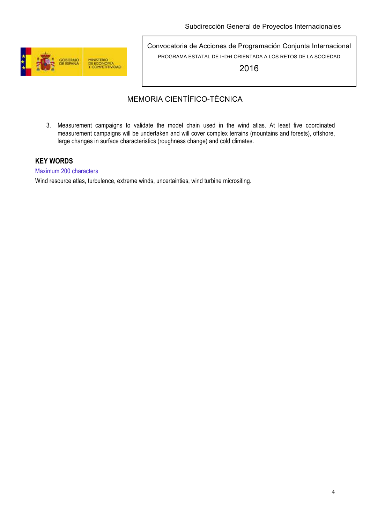

2016

## MEMORIA CIENTÍFICO-TÉCNICA

3. Measurement campaigns to validate the model chain used in the wind atlas. At least five coordinated measurement campaigns will be undertaken and will cover complex terrains (mountains and forests), offshore, large changes in surface characteristics (roughness change) and cold climates.

### **KEY WORDS**

Maximum 200 characters

Wind resource atlas, turbulence, extreme winds, uncertainties, wind turbine micrositing.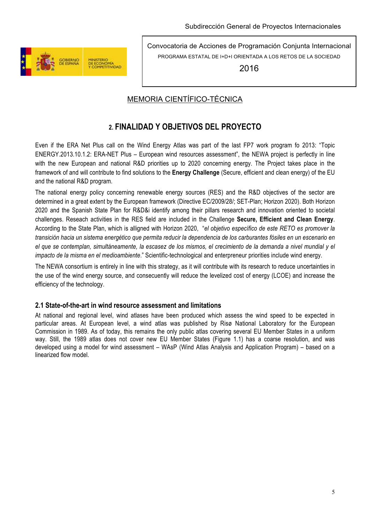

2016

## MEMORIA CIENTÍFICO-TÉCNICA

## **2. FINALIDAD Y OBJETIVOS DEL PROYECTO**

Even if the ERA Net Plus call on the Wind Energy Atlas was part of the last FP7 work program fo 2013: "Topic ENERGY.2013.10.1.2: ERA-NET Plus – European wind resources assessment", the NEWA project is perfectly in line with the new European and national R&D priorities up to 2020 concerning energy. The Project takes place in the framework of and will contribute to find solutions to the **Energy Challenge** (Secure, efficient and clean energy) of the EU and the national R&D program.

The national energy policy concerning renewable energy sources (RES) and the R&D objectives of the sector are determined in a great extent by the European framework (Directive EC/2009/28/; SET-Plan; Horizon 2020). Both Horizon 2020 and the Spanish State Plan for R&D&i identify among their pillars research and innovation oriented to societal challenges. Reseach activities in the RES field are included in the Challenge **Secure, Efficient and Clean Energy**. According to the State Plan, which is alligned with Horizon 2020, "*el objetivo específico de este RETO es promover la transición hacia un sistema energético que permita reducir la dependencia de los carburantes fósiles en un escenario en el que se contemplan, simultáneamente, la escasez de los mismos, el crecimiento de la demanda a nivel mundial y el impacto de la misma en el medioambiente*." Scientific-technological and enterpreneur priorities include wind energy.

The NEWA consortium is entirely in line with this strategy, as it will contribute with its research to reduce uncertainties in the use of the wind energy source, and consecuently will reduce the levelized cost of energy (LCOE) and increase the efficiency of the technology.

### **2.1 State-of-the-art in wind resource assessment and limitations**

At national and regional level, wind atlases have been produced which assess the wind speed to be expected in particular areas. At European level, a wind atlas was published by Risø National Laboratory for the European Commission in 1989. As of today, this remains the only public atlas covering several EU Member States in a uniform way. Still, the 1989 atlas does not cover new EU Member States (Figure 1.1) has a coarse resolution, and was developed using a model for wind assessment – WAsP (Wind Atlas Analysis and Application Program) – based on a linearized flow model.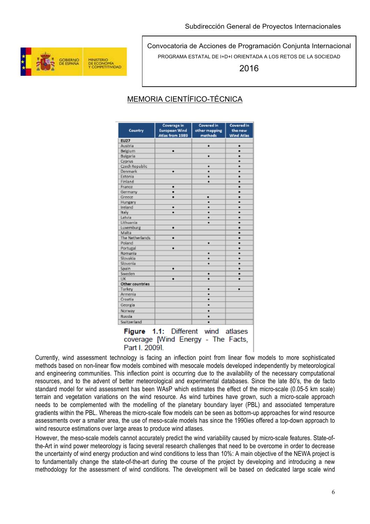

2016

## MEMORIA CIENTÍFICO-TÉCNICA

|                 | Coverage in          | Covered in    | <b>Covered</b> in |
|-----------------|----------------------|---------------|-------------------|
| Country         | <b>European Wind</b> | other mapping | the new           |
|                 | Atlas from 1989      | methods       | <b>Wind Atlas</b> |
| <b>EU27</b>     |                      |               |                   |
| Austria         |                      | ۰             | ٠                 |
| Belgium         | ٠                    |               | ٠                 |
| Bulgaria        |                      | ۰             |                   |
| Cyprus          |                      |               |                   |
| Czech Republic  |                      | ۰             |                   |
| Denmark         | ٠                    | ۰             | ٠                 |
| Estonia         |                      | ٠             |                   |
| Finland         |                      | ٠             |                   |
| France          | ٠                    |               | ٠                 |
| Germany         | ٠                    |               | ٠                 |
| Greece          |                      | ٠             | ٠                 |
| Hungary         |                      |               |                   |
| Ireland         | ۰                    |               |                   |
| Italy           | ۰                    |               |                   |
| Latvia          |                      | ٠             |                   |
| Lithuania       |                      | ٠             |                   |
| Luxemburg       | ٠                    |               | ٠                 |
| Malta           |                      |               | ۰                 |
| The Netherlands | ٠                    |               | ٠                 |
| Poland          |                      | ۰             | ٠                 |
| Portugal        | ٠                    |               | ٠                 |
| Romania         |                      | ۰             |                   |
| Slovakia        |                      | ۰             |                   |
| Slovenia        |                      | ٠             |                   |
| Spain           | ٠                    |               |                   |
| Sweden          |                      | ٠             | ٠                 |
| UK              | ٠                    | ٠             |                   |
| Other countries |                      |               |                   |
| Turkey          |                      | ٠             | ٠                 |
| Armenia         |                      | ٠             |                   |
| Croatia         |                      | ٠             |                   |
| Georgia         |                      | ٠             |                   |
| Norway          |                      | ۰             |                   |
| Russia          |                      | ٠             |                   |
| Switzerland     |                      | ۰             |                   |

Figure 1.1: Different wind atlases coverage [Wind Energy - The Facts, Part I. 20091

Currently, wind assessment technology is facing an inflection point from linear flow models to more sophisticated methods based on non-linear flow models combined with mesocale models developed independently by meteorological and engineering communities. This inflection point is occurring due to the availability of the necessary computational resources, and to the advent of better meteorological and experimental databases. Since the late 80's, the de facto standard model for wind assessment has been WAsP which estimates the effect of the micro-scale (0.05-5 km scale) terrain and vegetation variations on the wind resource. As wind turbines have grown, such a micro-scale approach needs to be complemented with the modelling of the planetary boundary layer (PBL) and associated temperature gradients within the PBL. Whereas the micro-scale flow models can be seen as bottom-up approaches for wind resource assessments over a smaller area, the use of meso-scale models has since the 1990ies offered a top-down approach to wind resource estimations over large areas to produce wind atlases.

However, the meso-scale models cannot accurately predict the wind variability caused by micro-scale features. State-ofthe-Art in wind power meteorology is facing several research challenges that need to be overcome in order to decrease the uncertainty of wind energy production and wind conditions to less than 10%: A main objective of the NEWA project is to fundamentally change the state-of-the-art during the course of the project by developing and introducing a new methodology for the assessment of wind conditions. The development will be based on dedicated large scale wind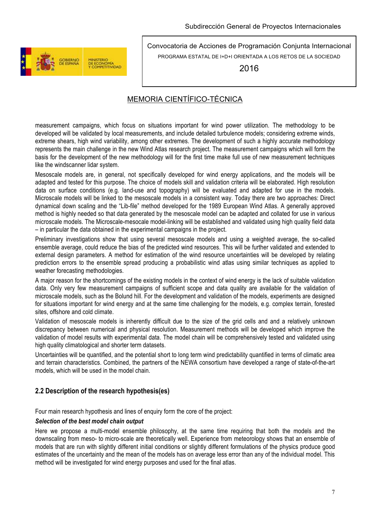

2016

### MEMORIA CIENTÍFICO-TÉCNICA

measurement campaigns, which focus on situations important for wind power utilization. The methodology to be developed will be validated by local measurements, and include detailed turbulence models; considering extreme winds, extreme shears, high wind variability, among other extremes. The development of such a highly accurate methodology represents the main challenge in the new Wind Atlas research project. The measurement campaigns which will form the basis for the development of the new methodology will for the first time make full use of new measurement techniques like the windscanner lidar system.

Mesoscale models are, in general, not specifically developed for wind energy applications, and the models will be adapted and tested for this purpose. The choice of models skill and validation criteria will be elaborated. High resolution data on surface conditions (e.g. land-use and topography) will be evaluated and adapted for use in the models. Microscale models will be linked to the mesoscale models in a consistent way. Today there are two approaches: Direct dynamical down scaling and the "Lib-file" method developed for the 1989 European Wind Atlas. A generally approved method is highly needed so that data generated by the mesoscale model can be adapted and collated for use in various microscale models. The Microscale-mesocale model-linking will be established and validated using high quality field data – in particular the data obtained in the experimental campaigns in the project.

Preliminary investigations show that using several mesoscale models and using a weighted average, the so-called ensemble average, could reduce the bias of the predicted wind resources. This will be further validated and extended to external design parameters. A method for estimation of the wind resource uncertainties will be developed by relating prediction errors to the ensemble spread producing a probabilistic wind atlas using similar techniques as applied to weather forecasting methodologies.

A major reason for the shortcomings of the existing models in the context of wind energy is the lack of suitable validation data. Only very few measurement campaigns of sufficient scope and data quality are available for the validation of microscale models, such as the Bolund hill. For the development and validation of the models, experiments are designed for situations important for wind energy and at the same time challenging for the models, e.g. complex terrain, forested sites, offshore and cold climate.

Validation of mesoscale models is inherently difficult due to the size of the grid cells and and a relatively unknown discrepancy between numerical and physical resolution. Measurement methods will be developed which improve the validation of model results with experimental data. The model chain will be comprehensively tested and validated using high quality climatological and shorter term datasets.

Uncertainties will be quantified, and the potential short to long term wind predictability quantified in terms of climatic area and terrain characteristics. Combined, the partners of the NEWA consortium have developed a range of state-of-the-art models, which will be used in the model chain.

### **2.2 Description of the research hypothesis(es)**

Four main research hypothesis and lines of enquiry form the core of the project:

#### *Selection of the best model chain output*

Here we propose a multi-model ensemble philosophy, at the same time requiring that both the models and the downscaling from meso- to micro-scale are theoretically well. Experience from meteorology shows that an ensemble of models that are run with slightly different initial conditions or slightly different formulations of the physics produce good estimates of the uncertainty and the mean of the models has on average less error than any of the individual model. This method will be investigated for wind energy purposes and used for the final atlas.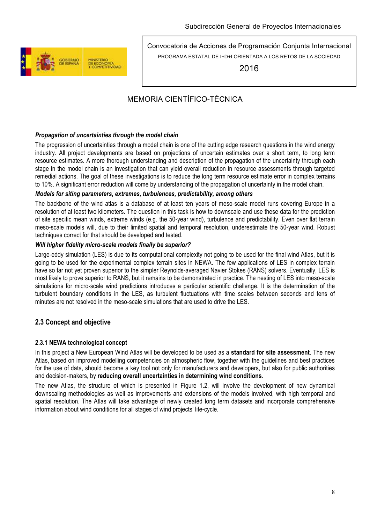

2016

## MEMORIA CIENTÍFICO-TÉCNICA

### *Propagation of uncertainties through the model chain*

The progression of uncertainties through a model chain is one of the cutting edge research questions in the wind energy industry. All project developments are based on projections of uncertain estimates over a short term, to long term resource estimates. A more thorough understanding and description of the propagation of the uncertainty through each stage in the model chain is an investigation that can yield overall reduction in resource assessments through targeted remedial actions. The goal of these investigations is to reduce the long term resource estimate error in complex terrains to 10%. A significant error reduction will come by understanding of the propagation of uncertainty in the model chain.

#### *Models for siting parameters, extremes, turbulences, predictability, among others*

The backbone of the wind atlas is a database of at least ten years of meso-scale model runs covering Europe in a resolution of at least two kilometers. The question in this task is how to downscale and use these data for the prediction of site specific mean winds, extreme winds (e.g. the 50-year wind), turbulence and predictability. Even over flat terrain meso-scale models will, due to their limited spatial and temporal resolution, underestimate the 50-year wind. Robust techniques correct for that should be developed and tested.

#### *Will higher fidelity micro-scale models finally be superior?*

Large-eddy simulation (LES) is due to its computational complexity not going to be used for the final wind Atlas, but it is going to be used for the experimental complex terrain sites in NEWA. The few applications of LES in complex terrain have so far not yet proven superior to the simpler Reynolds-averaged Navier Stokes (RANS) solvers. Eventually, LES is most likely to prove superior to RANS, but it remains to be demonstrated in practice. The nesting of LES into meso-scale simulations for micro-scale wind predictions introduces a particular scientific challenge. It is the determination of the turbulent boundary conditions in the LES, as turbulent fluctuations with time scales between seconds and tens of minutes are not resolved in the meso-scale simulations that are used to drive the LES.

### **2.3 Concept and objective**

#### **2.3.1 NEWA technological concept**

In this project a New European Wind Atlas will be developed to be used as a **standard for site assessment**. The new Atlas, based on improved modelling competencies on atmospheric flow, together with the guidelines and best practices for the use of data, should become a key tool not only for manufacturers and developers, but also for public authorities and decision-makers, by **reducing overall uncertainties in determining wind conditions**.

The new Atlas, the structure of which is presented in Figure 1.2, will involve the development of new dynamical downscaling methodologies as well as improvements and extensions of the models involved, with high temporal and spatial resolution. The Atlas will take advantage of newly created long term datasets and incorporate comprehensive information about wind conditions for all stages of wind projects' life-cycle.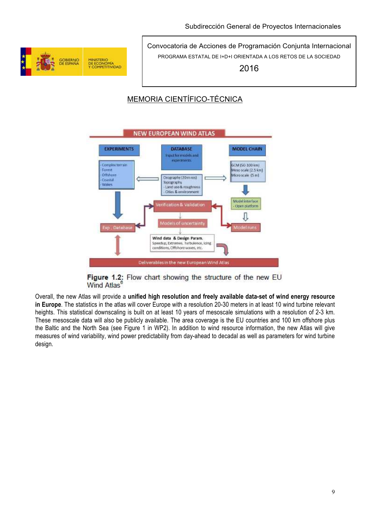

2016

## MEMORIA CIENTÍFICO-TÉCNICA



Figure 1.2: Flow chart showing the structure of the new EU Wind Atlas<sup>®</sup>

Overall, the new Atlas will provide a **unified high resolution and freely available data-set of wind energy resource in Europe**. The statistics in the atlas will cover Europe with a resolution 20-30 meters in at least 10 wind turbine relevant heights. This statistical downscaling is built on at least 10 years of mesoscale simulations with a resolution of 2-3 km. These mesoscale data will also be publicly available. The area coverage is the EU countries and 100 km offshore plus the Baltic and the North Sea (see Figure 1 in WP2). In addition to wind resource information, the new Atlas will give measures of wind variability, wind power predictability from day-ahead to decadal as well as parameters for wind turbine design.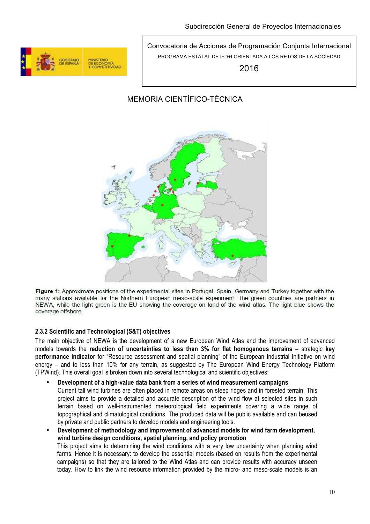

2016

## MEMORIA CIENTÍFICO-TÉCNICA



Figure 1: Approximate positions of the experimental sites in Portugal, Spain, Germany and Turkey together with the many stations available for the Northern European meso-scale experiment. The green countries are partners in NEWA, while the light green is the EU showing the coverage on land of the wind atlas. The light blue shows the coverage offshore

### **2.3.2 Scientific and Technological (S&T) objectives**

The main objective of NEWA is the development of a new European Wind Atlas and the improvement of advanced models towards the **reduction of uncertainties to less than 3% for flat homogenous terrains** – strategic **key performance indicator** for "Resource assessment and spatial planning" of the European Industrial Initiative on wind energy – and to less than 10% for any terrain, as suggested by The European Wind Energy Technology Platform (TPWind). This overall goal is broken down into several technological and scientific objectives:

- **Development of a high-value data bank from a series of wind measurement campaigns**  Current tall wind turbines are often placed in remote areas on steep ridges and in forested terrain. This project aims to provide a detailed and accurate description of the wind flow at selected sites in such terrain based on well-instrumented meteorological field experiments covering a wide range of topographical and climatological conditions. The produced data will be public available and can beused by private and public partners to develop models and engineering tools.
- **Development of methodology and improvement of advanced models for wind farm development, wind turbine design conditions, spatial planning, and policy promotion** This project aims to determining the wind conditions with a very low uncertainty when planning wind farms. Hence it is necessary: to develop the essential models (based on results from the experimental campaigns) so that they are tailored to the Wind Atlas and can provide results with accuracy unseen today. How to link the wind resource information provided by the micro- and meso-scale models is an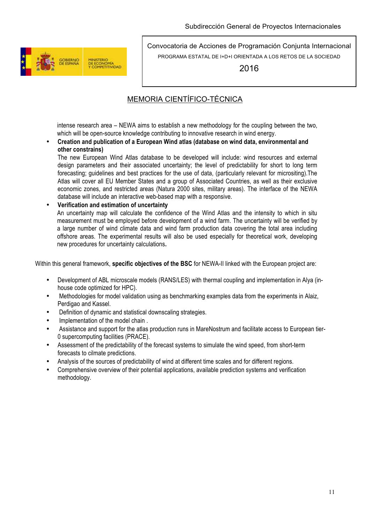

2016

## MEMORIA CIENTÍFICO-TÉCNICA

intense research area – NEWA aims to establish a new methodology for the coupling between the two, which will be open-source knowledge contributing to innovative research in wind energy.

#### • **Creation and publication of a European Wind atlas (database on wind data, environmental and other constrains)**

The new European Wind Atlas database to be developed will include: wind resources and external design parameters and their associated uncertainty; the level of predictability for short to long term forecasting; guidelines and best practices for the use of data, (particularly relevant for micrositing).The Atlas will cover all EU Member States and a group of Associated Countries, as well as their exclusive economic zones, and restricted areas (Natura 2000 sites, military areas). The interface of the NEWA database will include an interactive web-based map with a responsive.

### • **Verification and estimation of uncertainty**

An uncertainty map will calculate the confidence of the Wind Atlas and the intensity to which in situ measurement must be employed before development of a wind farm. The uncertainty will be verified by a large number of wind climate data and wind farm production data covering the total area including offshore areas. The experimental results will also be used especially for theoretical work, developing new procedures for uncertainty calculations**.** 

Within this general framework, **specific objectives of the BSC** for NEWA-II linked with the European project are:

- Development of ABL microscale models (RANS/LES) with thermal coupling and implementation in Alya (inhouse code optimized for HPC).
- Methodologies for model validation using as benchmarking examples data from the experiments in Alaiz, Perdigao and Kassel.
- Definition of dynamic and statistical downscaling strategies.
- Implementation of the model chain .
- Assistance and support for the atlas production runs in MareNostrum and facilitate access to European tier-0 supercomputing facilities (PRACE).
- Assessment of the predictability of the forecast systems to simulate the wind speed, from short-term forecasts to cilmate predictions.
- Analysis of the sources of predictability of wind at different time scales and for different regions.
- Comprehensive overview of their potential applications, available prediction systems and verification methodology.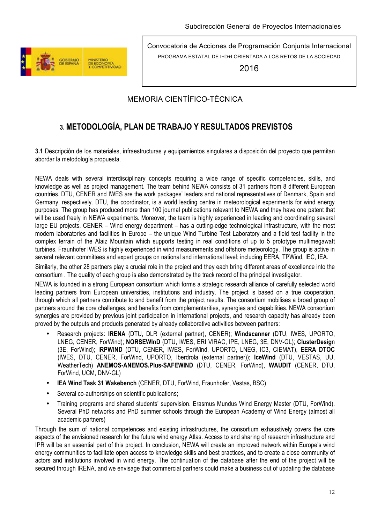

2016

### MEMORIA CIENTÍFICO-TÉCNICA

# **3. METODOLOGÍA, PLAN DE TRABAJO Y RESULTADOS PREVISTOS**

**3.1** Descripción de los materiales, infraestructuras y equipamientos singulares a disposición del proyecto que permitan abordar la metodología propuesta.

NEWA deals with several interdisciplinary concepts requiring a wide range of specific competencies, skills, and knowledge as well as project management. The team behind NEWA consists of 31 partners from 8 different European countries. DTU, CENER and IWES are the work packages' leaders and national representatives of Denmark, Spain and Germany, respectively. DTU, the coordinator, is a world leading centre in meteorological experiments for wind energy purposes. The group has produced more than 100 journal publications relevant to NEWA and they have one patent that will be used freely in NEWA experiments. Moreover, the team is highly experienced in leading and coordinating several large EU projects. CENER – Wind energy department – has a cutting-edge technological infrastructure, with the most modern laboratories and facilities in Europe – the unique Wind Turbine Test Laboratory and a field test facility in the complex terrain of the Alaiz Mountain which supports testing in real conditions of up to 5 prototype multimegawatt turbines. Fraunhofer IWES is highly experienced in wind measurements and offshore meteorology. The group is active in several relevant committees and expert groups on national and international level; including EERA, TPWind, IEC, IEA,

Similarly, the other 28 partners play a crucial role in the project and they each bring different areas of excellence into the consortium . The quality of each group is also demonstrated by the track record of the principal investigator.

NEWA is founded in a strong European consortium which forms a strategic research alliance of carefully selected world leading partners from European universities, institutions and industry. The project is based on a true cooperation, through which all partners contribute to and benefit from the project results. The consortium mobilises a broad group of partners around the core challenges, and benefits from complementarities, synergies and capabilities. NEWA consortium synergies are provided by previous joint participation in international projects, and research capacity has already been proved by the outputs and products generated by already collaborative activities between partners:

- Research projects: **IRENA** (DTU, DLR (external partner), CENER); **Windscanner** (DTU, IWES, UPORTO, LNEG, CENER, ForWind); **NORSEWInD** (DTU, IWES, ERI VIRAC, IPE, LNEG, 3E, DNV-GL); **ClusterDesig**n (3E, ForWind); I**RPWIND** (DTU, CENER, IWES, ForWind, UPORTO, LNEG, IC3, CIEMAT), **EERA DTOC**  (IWES, DTU, CENER, ForWind, UPORTO, Iberdrola (external partner)); **IceWind** (DTU, VESTAS, UU, WeatherTech) **ANEMOS-ANEMOS.Plus-SAFEWIND** (DTU, CENER, ForWind), **WAUDIT** (CENER, DTU, ForWind, UCM, DNV-GL)
- **IEA Wind Task 31 Wakebench** (CENER, DTU, ForWind, Fraunhofer, Vestas, BSC)
- Several co-authorships on scientific publications:
- Training programs and shared students' supervision. Erasmus Mundus Wind Energy Master (DTU, ForWind). Several PhD networks and PhD summer schools through the European Academy of Wind Energy (almost all academic partners)

Through the sum of national competences and existing infrastructures, the consortium exhaustively covers the core aspects of the envisioned research for the future wind energy Atlas. Access to and sharing of research infrastructure and IPR will be an essential part of this project. In conclusion, NEWA will create an improved network within Europe's wind energy communities to facilitate open access to knowledge skills and best practices, and to create a close community of actors and institutions involved in wind energy. The continuation of the database after the end of the project will be secured through IRENA, and we envisage that commercial partners could make a business out of updating the database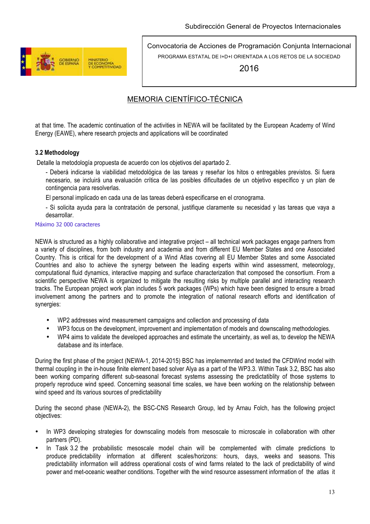

2016

### MEMORIA CIENTÍFICO-TÉCNICA

at that time. The academic continuation of the activities in NEWA will be facilitated by the European Academy of Wind Energy (EAWE), where research projects and applications will be coordinated

### **3.2 Methodology**

Detalle la metodología propuesta de acuerdo con los objetivos del apartado 2.

- Deberá indicarse la viabilidad metodológica de las tareas y reseñar los hitos o entregables previstos. Si fuera necesario, se incluirá una evaluación crítica de las posibles dificultades de un objetivo específico y un plan de contingencia para resolverlas.

El personal implicado en cada una de las tareas deberá especificarse en el cronograma.

- Si solicita ayuda para la contratación de personal, justifique claramente su necesidad y las tareas que vaya a desarrollar.

#### Máximo 32 000 caracteres

NEWA is structured as a highly collaborative and integrative project – all technical work packages engage partners from a variety of disciplines, from both industry and academia and from different EU Member States and one Associated Country. This is critical for the development of a Wind Atlas covering all EU Member States and some Associated Countries and also to achieve the synergy between the leading experts within wind assessment, meteorology, computational fluid dynamics, interactive mapping and surface characterization that composed the consortium. From a scientific perspective NEWA is organized to mitigate the resulting risks by multiple parallel and interacting research tracks. The European project work plan includes 5 work packages (WPs) which have been designed to ensure a broad involvement among the partners and to promote the integration of national research efforts and identification of synergies:

- WP2 addresses wind measurement campaigns and collection and processing of data
- WP3 focus on the development, improvement and implementation of models and downscaling methodologies.
- WP4 aims to validate the developed approaches and estimate the uncertainty, as well as, to develop the NEWA database and its interface.

During the first phase of the project (NEWA-1, 2014-2015) BSC has implememnted and tested the CFDWind model with thermal coupling in the in-house finite element based solver Alya as a part of the WP3.3. Within Task 3.2, BSC has also been working comparing different sub-seasonal forecast systems assessing the predictatiblity of those systems to properly reproduce wind speed. Concerning seasonal time scales, we have been working on the relationship between wind speed and its various sources of predictability

During the second phase (NEWA-2), the BSC-CNS Research Group, led by Arnau Folch, has the following project objectives:

- In WP3 developing strategies for downscaling models from mesoscale to microscale in collaboration with other partners (PD).
- In Task 3.2 the probabilistic mesoscale model chain will be complemented with climate predictions to produce predictability information at different scales/horizons: hours, days, weeks and seasons. This predictability information will address operational costs of wind farms related to the lack of predictability of wind power and met-oceanic weather conditions. Together with the wind resource assessment information of the atlas it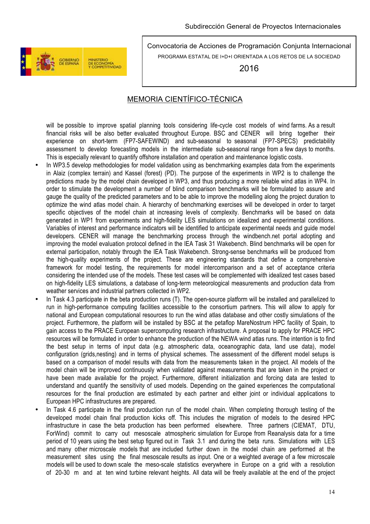

2016

### MEMORIA CIENTÍFICO-TÉCNICA

will be possible to improve spatial planning tools considering life-cycle cost models of wind farms. As a result financial risks will be also better evaluated throughout Europe. BSC and CENER will bring together their experience on short-term (FP7-SAFEWIND) and sub-seasonal to seasonal (FP7-SPECS) predictability assessment to develop forecasting models in the intermediate sub-seasonal range from a few days to months. This is especially relevant to quantify offshore installation and operation and maintenance logistic costs.

- In WP3.5 develop methodologies for model validation using as benchmarking examples data from the experiments in Alaiz (complex terrain) and Kassel (forest) (PD). The purpose of the experiments in WP2 is to challenge the predictions made by the model chain developed in WP3, and thus producing a more reliable wind atlas in WP4. In order to stimulate the development a number of blind comparison benchmarks will be formulated to assure and gauge the quality of the predicted parameters and to be able to improve the modelling along the project duration to optimize the wind atlas model chain. A hierarchy of benchmarking exercises will be developed in order to target specific objectives of the model chain at increasing levels of complexity. Benchmarks will be based on data generated in WP1 from experiments and high-fidelity LES simulations on idealized and experimental conditions. Variables of interest and performance indicators will be identified to anticipate experimental needs and guide model developers. CENER will manage the benchmarking process through the windbench.net portal adopting and improving the model evaluation protocol defined in the IEA Task 31 Wakebench. Blind benchmarks will be open for external participation, notably through the IEA Task Wakebench. Strong-sense benchmarks will be produced from the high-quality experiments of the project. These are engineering standards that define a comprehensive framework for model testing, the requirements for model intercomparison and a set of acceptance criteria considering the intended use of the models. These test cases will be complemented with idealized test cases based on high-fidelity LES simulations, a database of long-term meteorological measurements and production data from weather services and industrial partners collected in WP2.
- In Task 4.3 participate in the beta production runs (T). The open-source platform will be installed and parallelized to run in high-performance computing facilities accessible to the consortium partners. This will allow to apply for national and European computational resources to run the wind atlas database and other costly simulations of the project. Furthermore, the platform will be installed by BSC at the petaflop MareNostrum HPC facility of Spain, to gain access to the PRACE European supercomputing research infrastructure. A proposal to apply for PRACE HPC resources will be formulated in order to enhance the production of the NEWA wind atlas runs. The intention is to find the best setup in terms of input data (e.g. atmospheric data, oceanographic data, land use data), model configuration (grids,nesting) and in terms of physical schemes. The assessment of the different model setups is based on a comparison of model results with data from the measurements taken in the project. All models of the model chain will be improved continuously when validated against measurements that are taken in the project or have been made available for the project. Furthermore, different initialization and forcing data are tested to understand and quantify the sensitivity of used models. Depending on the gained experiences the computational resources for the final production are estimated by each partner and either joint or individual applications to European HPC infrastructures are prepared.
- In Task 4.6 participate in the final production run of the model chain. When completing thorough testing of the developed model chain final production kicks off. This includes the migration of models to the desired HPC infrastructure in case the beta production has been performed elsewhere. Three partners (CIEMAT, DTU, ForWind) commit to carry out mesoscale atmospheric simulation for Europe from Reanalysis data for a time period of 10 years using the best setup figured out in Task 3.1 and during the beta runs. Simulations with LES and many other microscale models that are included further down in the model chain are performed at the measurement sites using the final mesoscale results as input. One or a weighted average of a few microscale models will be used to down scale the meso-scale statistics everywhere in Europe on a grid with a resolution of 20-30 m and at ten wind turbine relevant heights. All data will be freely available at the end of the project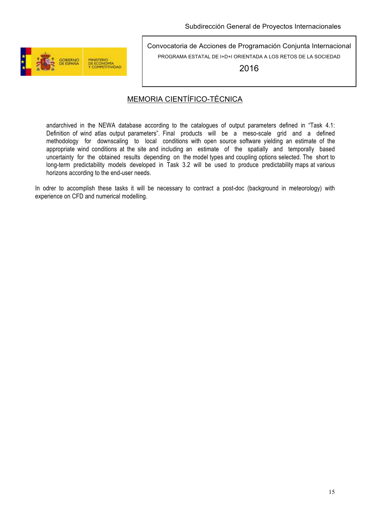

2016

### MEMORIA CIENTÍFICO-TÉCNICA

andarchived in the NEWA database according to the catalogues of output parameters defined in "Task 4.1: Definition of wind atlas output parameters". Final products will be a meso-scale grid and a defined methodology for downscaling to local conditions with open source software yielding an estimate of the appropriate wind conditions at the site and including an estimate of the spatially and temporally based uncertainty for the obtained results depending on the model types and coupling options selected. The short to long-term predictability models developed in Task 3.2 will be used to produce predictability maps at various horizons according to the end-user needs.

In odrer to accomplish these tasks it will be necessary to contract a post-doc (background in meteorology) with experience on CFD and numerical modelling.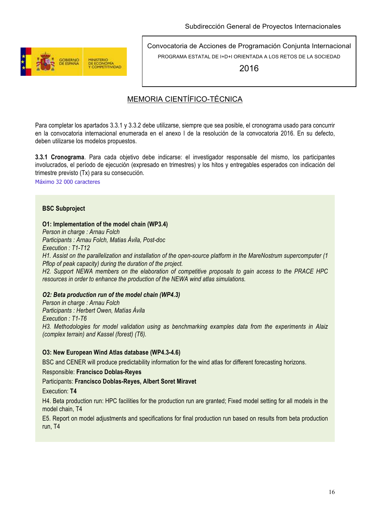

2016

### MEMORIA CIENTÍFICO-TÉCNICA

Para completar los apartados 3.3.1 y 3.3.2 debe utilizarse, siempre que sea posible, el cronograma usado para concurrir en la convocatoria internacional enumerada en el anexo I de la resolución de la convocatoria 2016. En su defecto, deben utilizarse los modelos propuestos.

**3.3.1 Cronograma**. Para cada objetivo debe indicarse: el investigador responsable del mismo, los participantes involucrados, el período de ejecución (expresado en trimestres) y los hitos y entregables esperados con indicación del trimestre previsto (Tx) para su consecución.

Máximo 32 000 caracteres

### **BSC Subproject**

#### **O1: Implementation of the model chain (WP3.4)**

*Person in charge : Arnau Folch*

*Participants : Arnau Folch, Matias Ávila, Post-doc Execution : T1-T12*

*H1. Assist on the parallelization and installation of the open-source platform in the MareNostrum supercomputer (1 Pflop of peak capacity) during the duration of the project.*

*H2. Support NEWA members on the elaboration of competitive proposals to gain access to the PRACE HPC resources in order to enhance the production of the NEWA wind atlas simulations.*

#### *O2: Beta production run of the model chain (WP4.3)*

*Person in charge : Arnau Folch Participants : Herbert Owen, Matías Ávila Execution : T1-T6 H3. Methodologies for model validation using as benchmarking examples data from the experiments in Alaiz (complex terrain) and Kassel (forest) (T6).*

#### **O3: New European Wind Atlas database (WP4.3-4.6)**

BSC and CENER will produce predictability information for the wind atlas for different forecasting horizons.

#### Responsible: **Francisco Doblas-Reyes**

Participants: **Francisco Doblas-Reyes, Albert Soret Miravet**

Execution: **T4**

H4. Beta production run: HPC facilities for the production run are granted; Fixed model setting for all models in the model chain, T4

E5. Report on model adjustments and specifications for final production run based on results from beta production run, T4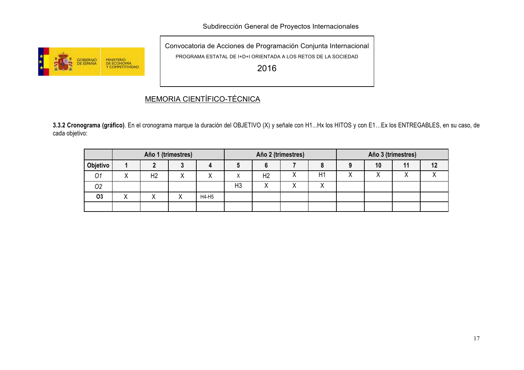Subdirección General de Proyectos Internacionales



Convocatoria de Acciones de Programación Conjunta Internacional PROGRAMA ESTATAL DE I+D+I ORIENTADA A LOS RETOS DE LA SOCIEDAD

2016

# MEMORIA CIENTÍFICO-TÉCNICA

**3.3.2 Cronograma (gráfico)**. En el cronograma marque la duración del OBJETIVO (X) y señale con H1...Hx los HITOS y con E1…Ex los ENTREGABLES, en su caso, de cada objetivo:

|           | Año 1 (trimestres) |                |   | Año 2 (trimestres) |                |                | Año 3 (trimestres) |    |  |    |           |  |
|-----------|--------------------|----------------|---|--------------------|----------------|----------------|--------------------|----|--|----|-----------|--|
| Objetivo  |                    |                |   |                    |                |                |                    |    |  | 10 | 11        |  |
| 01        |                    | H <sub>2</sub> | Λ |                    |                | H <sub>2</sub> |                    | H1 |  |    | $\lambda$ |  |
| 02        |                    |                |   |                    | H <sub>3</sub> |                |                    |    |  |    |           |  |
| <b>O3</b> |                    |                |   | H4-H5              |                |                |                    |    |  |    |           |  |
|           |                    |                |   |                    |                |                |                    |    |  |    |           |  |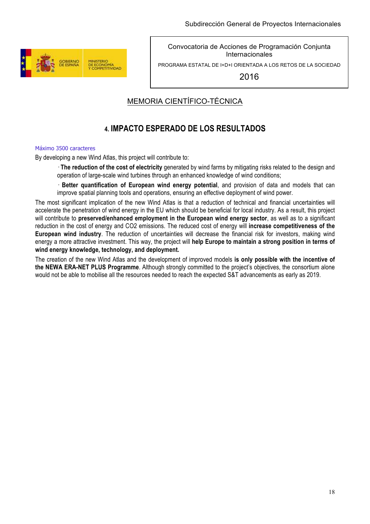

PROGRAMA ESTATAL DE I+D+I ORIENTADA A LOS RETOS DE LA SOCIEDAD

2016

## MEMORIA CIENTÍFICO-TÉCNICA

# **4. IMPACTO ESPERADO DE LOS RESULTADOS**

#### Máximo 3500 caracteres

By developing a new Wind Atlas, this project will contribute to:

 **The reduction of the cost of electricity** generated by wind farms by mitigating risks related to the design and operation of large-scale wind turbines through an enhanced knowledge of wind conditions;

 **Better quantification of European wind energy potential**, and provision of data and models that can improve spatial planning tools and operations, ensuring an effective deployment of wind power.

The most significant implication of the new Wind Atlas is that a reduction of technical and financial uncertainties will accelerate the penetration of wind energy in the EU which should be beneficial for local industry. As a result, this project will contribute to **preserved/enhanced employment in the European wind energy sector**, as well as to a significant reduction in the cost of energy and CO2 emissions. The reduced cost of energy will **increase competitiveness of the European wind industry**. The reduction of uncertainties will decrease the financial risk for investors, making wind energy a more attractive investment. This way, the project will **help Europe to maintain a strong position in terms of wind energy knowledge, technology, and deployment.**

The creation of the new Wind Atlas and the development of improved models **is only possible with the incentive of the NEWA ERA-NET PLUS Programme**. Although strongly committed to the project's objectives, the consortium alone would not be able to mobilise all the resources needed to reach the expected S&T advancements as early as 2019.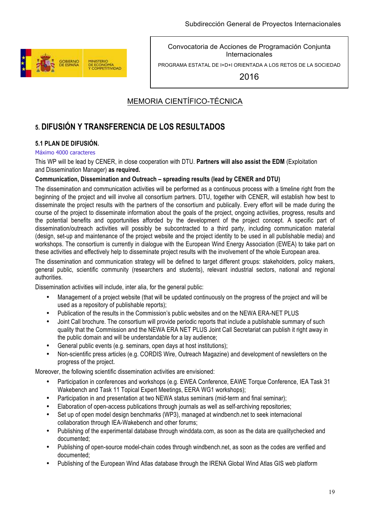

PROGRAMA ESTATAL DE I+D+I ORIENTADA A LOS RETOS DE LA SOCIEDAD

2016

## MEMORIA CIENTÍFICO-TÉCNICA

## **5. DIFUSIÓN Y TRANSFERENCIA DE LOS RESULTADOS**

### **5.1 PLAN DE DIFUSIÓN.**

#### Máximo 4000 caracteres

This WP will be lead by CENER, in close cooperation with DTU. **Partners will also assist the EDM** (Exploitation and Dissemination Manager) **as required.**

#### **Communication, Dissemination and Outreach – spreading results (lead by CENER and DTU)**

The dissemination and communication activities will be performed as a continuous process with a timeline right from the beginning of the project and will involve all consortium partners. DTU, together with CENER, will establish how best to disseminate the project results with the partners of the consortium and publically. Every effort will be made during the course of the project to disseminate information about the goals of the project, ongoing activities, progress, results and the potential benefits and opportunities afforded by the development of the project concept. A specific part of dissemination/outreach activities will possibly be subcontracted to a third party, including communication material (design, set-up and maintenance of the project website and the project identity to be used in all publishable media) and workshops. The consortium is currently in dialogue with the European Wind Energy Association (EWEA) to take part on these activities and effectively help to disseminate project results with the involvement of the whole European area.

The dissemination and communication strategy will be defined to target different groups: stakeholders, policy makers, general public, scientific community (researchers and students), relevant industrial sectors, national and regional authorities.

Dissemination activities will include, inter alia, for the general public:

- Management of a project website (that will be updated continuously on the progress of the project and will be used as a repository of publishable reports);
- Publication of the results in the Commission's public websites and on the NEWA ERA-NET PLUS
- Joint Call brochure. The consortium will provide periodic reports that include a publishable summary of such quality that the Commission and the NEWA ERA NET PLUS Joint Call Secretariat can publish it right away in the public domain and will be understandable for a lay audience;
- General public events (e.g. seminars, open days at host institutions);
- Non-scientific press articles (e.g. CORDIS Wire, Outreach Magazine) and development of newsletters on the progress of the project.

Moreover, the following scientific dissemination activities are envisioned:

- Participation in conferences and workshops (e.g. EWEA Conference, EAWE Torque Conference, IEA Task 31 Wakebench and Task 11 Topical Expert Meetings, EERA WG1 workshops);
- Participation in and presentation at two NEWA status seminars (mid-term and final seminar);
- Elaboration of open-access publications through journals as well as self-archiving repositories;
- Set up of open model design benchmarks (WP3), managed at windbench.net to seek internacional collaboration through IEA-Wakebench and other forums;
- Publishing of the experimental database through winddata.com, as soon as the data are qualitychecked and documented;
- Publishing of open-source model-chain codes through windbench.net, as soon as the codes are verified and documented;
- Publishing of the European Wind Atlas database through the IRENA Global Wind Atlas GIS web platform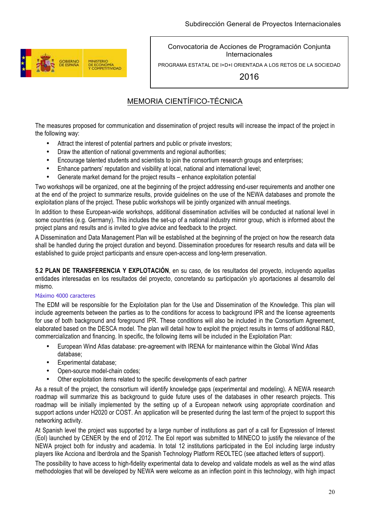

PROGRAMA ESTATAL DE I+D+I ORIENTADA A LOS RETOS DE LA SOCIEDAD

2016

## MEMORIA CIENTÍFICO-TÉCNICA

The measures proposed for communication and dissemination of project results will increase the impact of the project in the following way:

- Attract the interest of potential partners and public or private investors;
- Draw the attention of national governments and regional authorities;
- Encourage talented students and scientists to join the consortium research groups and enterprises;
- Enhance partners' reputation and visibility at local, national and international level;
- Generate market demand for the project results enhance exploitation potential

Two workshops will be organized, one at the beginning of the project addressing end-user requirements and another one at the end of the project to summarize results, provide guidelines on the use of the NEWA databases and promote the exploitation plans of the project. These public workshops will be jointly organized with annual meetings.

In addition to these European-wide workshops, additional dissemination activities will be conducted at national level in some countries (e.g. Germany). This includes the set-up of a national industry mirror group, which is informed about the project plans and results and is invited to give advice and feedback to the project.

A Dissemination and Data Management Plan will be established at the beginning of the project on how the research data shall be handled during the project duration and beyond. Dissemination procedures for research results and data will be established to guide project participants and ensure open-access and long-term preservation.

**5.2 PLAN DE TRANSFERENCIA Y EXPLOTACIÓN**, en su caso, de los resultados del proyecto, incluyendo aquellas entidades interesadas en los resultados del proyecto, concretando su participación y/o aportaciones al desarrollo del mismo.

#### Máximo 4000 caracteres

The EDM will be responsible for the Exploitation plan for the Use and Dissemination of the Knowledge. This plan will include agreements between the parties as to the conditions for access to background IPR and the license agreements for use of both background and foreground IPR. These conditions will also be included in the Consortium Agreement, elaborated based on the DESCA model. The plan will detail how to exploit the project results in terms of additional R&D, commercialization and financing. In specific, the following items will be included in the Exploitation Plan:

- European Wind Atlas database: pre-agreement with IRENA for maintenance within the Global Wind Atlas database;
- Experimental database;
- Open-source model-chain codes;
- Other exploitation items related to the specific developments of each partner

As a result of the project, the consortium will identify knowledge gaps (experimental and modeling). A NEWA research roadmap will summarize this as background to guide future uses of the databases in other research projects. This roadmap will be initially implemented by the setting up of a European network using appropriate coordination and support actions under H2020 or COST. An application will be presented during the last term of the project to support this networking activity.

At Spanish level the project was supported by a large number of institutions as part of a call for Expression of Interest (EoI) launched by CENER by the end of 2012. The EoI report was submitted to MINECO to justify the relevance of the NEWA project both for industry and academia. In total 12 institutions participated in the EoI including large industry players like Acciona and Iberdrola and the Spanish Technology Platform REOLTEC (see attached letters of support).

The possibility to have access to high-fidelity experimental data to develop and validate models as well as the wind atlas methodologies that will be developed by NEWA were welcome as an inflection point in this technology, with high impact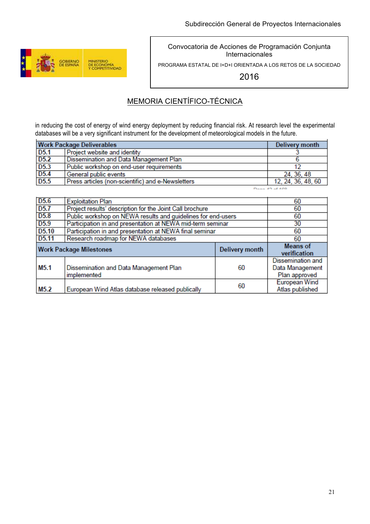

PROGRAMA ESTATAL DE I+D+I ORIENTADA A LOS RETOS DE LA SOCIEDAD

2016

## MEMORIA CIENTÍFICO-TÉCNICA

in reducing the cost of energy of wind energy deployment by reducing financial risk. At research level the experimental databases will be a very significant instrument for the development of meteorological models in the future.

| <b>Work Package Deliverables</b> | Delivery month                                    |                    |
|----------------------------------|---------------------------------------------------|--------------------|
| D <sub>5.1</sub>                 | Project website and identity                      |                    |
| D <sub>5.2</sub>                 | Dissemination and Data Management Plan            |                    |
| D <sub>5.3</sub>                 | Public workshop on end-user requirements          |                    |
| D <sub>5.4</sub>                 | General public events                             | 24, 36, 48         |
| D <sub>5.5</sub>                 | Press articles (non-scientific) and e-Newsletters | 12, 24, 36, 48, 60 |
|                                  |                                                   | $D = -42.400$      |

| D <sub>5.6</sub>  | <b>Exploitation Plan</b>                                     | 60             |                                                       |
|-------------------|--------------------------------------------------------------|----------------|-------------------------------------------------------|
| D <sub>5.7</sub>  | Project results' description for the Joint Call brochure     | 60             |                                                       |
| D <sub>5.8</sub>  | Public workshop on NEWA results and quidelines for end-users | 60             |                                                       |
| D <sub>5.9</sub>  | Participation in and presentation at NEWA mid-term seminar   | 30             |                                                       |
| D <sub>5.10</sub> | Participation in and presentation at NEWA final seminar      | 60             |                                                       |
| D <sub>5.11</sub> | Research roadmap for NEWA databases                          | 60             |                                                       |
|                   | <b>Work Package Milestones</b>                               | Delivery month | <b>Means</b> of<br>verification                       |
| M <sub>5.1</sub>  | Dissemination and Data Management Plan<br>implemented        | 60             | Dissemination and<br>Data Management<br>Plan approved |
| M <sub>5.2</sub>  | European Wind Atlas database released publically             | 60             | <b>European Wind</b><br>Atlas published               |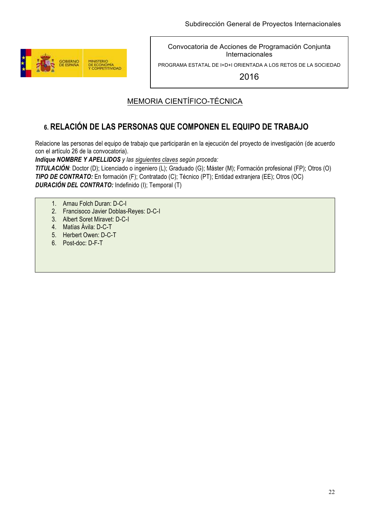

PROGRAMA ESTATAL DE I+D+I ORIENTADA A LOS RETOS DE LA SOCIEDAD

2016

# MEMORIA CIENTÍFICO-TÉCNICA

# **6. RELACIÓN DE LAS PERSONAS QUE COMPONEN EL EQUIPO DE TRABAJO**

Relacione las personas del equipo de trabajo que participarán en la ejecución del proyecto de investigación (de acuerdo con el artículo 26 de la convocatoria).

*Indique NOMBRE Y APELLIDOS y las siguientes claves según proceda:*

*TITULACIÓN*: Doctor (D); Licenciado o ingeniero (L); Graduado (G); Máster (M); Formación profesional (FP); Otros (O) *TIPO DE CONTRATO:* En formación (F); Contratado (C); Técnico (PT); Entidad extranjera (EE); Otros (OC) *DURACIÓN DEL CONTRATO:* Indefinido (I); Temporal (T)

- 1. Arnau Folch Duran: D-C-I
- 2. Francisoco Javier Doblas-Reyes: D-C-I
- 3. Albert Soret Miravet: D-C-I
- 4. Matías Ávila: D-C-T
- 5. Herbert Owen: D-C-T
- 6. Post-doc: D-F-T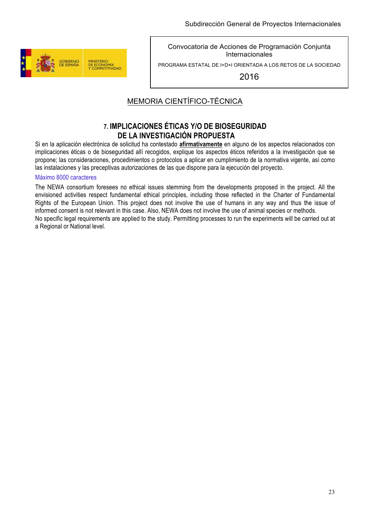

PROGRAMA ESTATAL DE I+D+I ORIENTADA A LOS RETOS DE LA SOCIEDAD

2016

## MEMORIA CIENTÍFICO-TÉCNICA

### **7. IMPLICACIONES ÉTICAS Y/O DE BIOSEGURIDAD DE LA INVESTIGACIÓN PROPUESTA**

Si en la aplicación electrónica de solicitud ha contestado **afirmativamente** en alguno de los aspectos relacionados con implicaciones éticas o de bioseguridad allí recogidos, explique los aspectos éticos referidos a la investigación que se propone; las consideraciones, procedimientos o protocolos a aplicar en cumplimiento de la normativa vigente, así como las instalaciones y las preceptivas autorizaciones de las que dispone para la ejecución del proyecto.

#### Máximo 8000 caracteres

The NEWA consortium foresees no ethical issues stemming from the developments proposed in the project. All the envisioned activities respect fundamental ethical principles, including those reflected in the Charter of Fundamental Rights of the European Union. This project does not involve the use of humans in any way and thus the issue of informed consent is not relevant in this case. Also, NEWA does not involve the use of animal species or methods. No specific legal requirements are applied to the study. Permitting processes to run the experiments will be carried out at a Regional or National level.